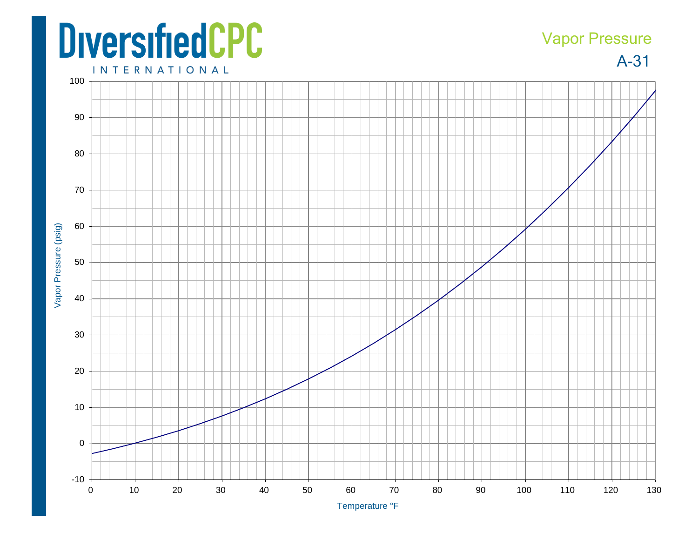## **DiversifiedCPC**

## Vapor Pressure

A-31